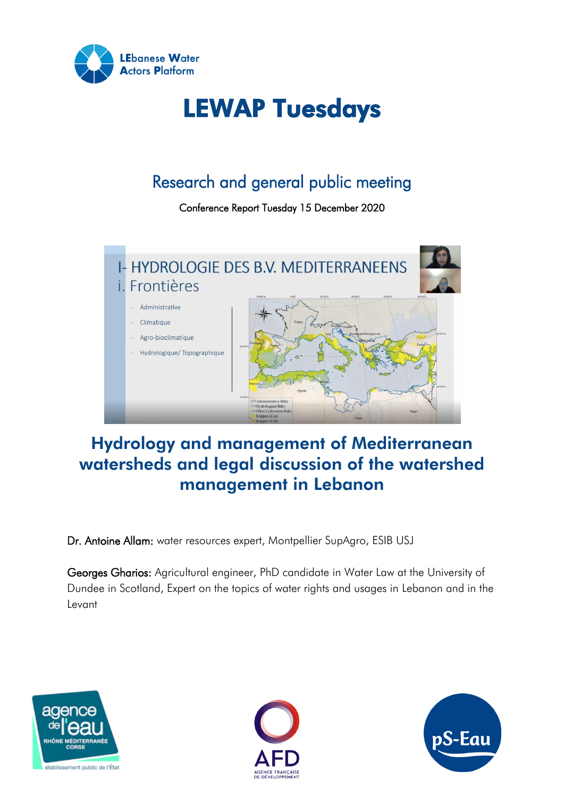

# LEWAP Tuesdays

# Research and general public meeting

Conference Report Tuesday 15 December 2020



# Hydrology and management of Mediterranean watersheds and legal discussion of the watershed management in Lebanon

Dr. Antoine Allam: water resources expert, Montpellier SupAgro, ESIB USJ

Georges Gharios: Agricultural engineer, PhD candidate in Water Law at the University of Dundee in Scotland, Expert on the topics of water rights and usages in Lebanon and in the Levant





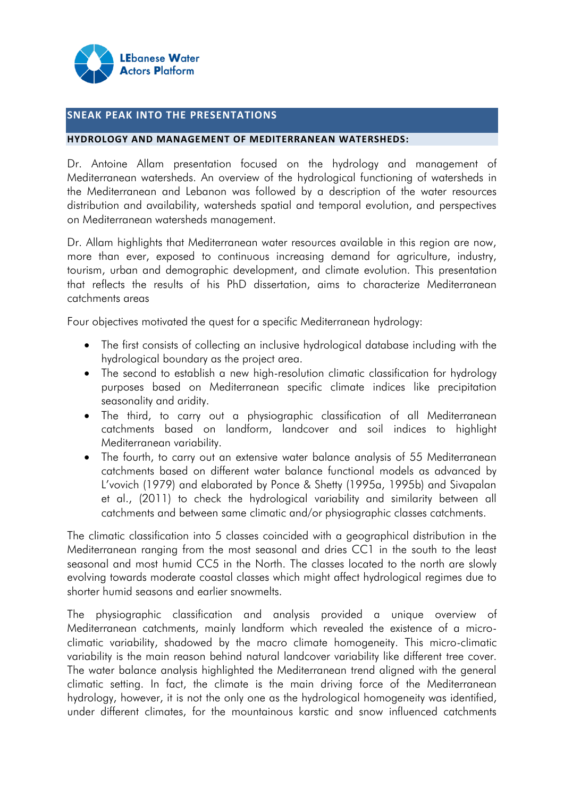

#### **SNEAK PEAK INTO THE PRESENTATIONS**

#### **HYDROLOGY AND MANAGEMENT OF MEDITERRANEAN WATERSHEDS:**

Dr. Antoine Allam presentation focused on the hydrology and management of Mediterranean watersheds. An overview of the hydrological functioning of watersheds in the Mediterranean and Lebanon was followed by a description of the water resources distribution and availability, watersheds spatial and temporal evolution, and perspectives on Mediterranean watersheds management.

Dr. Allam highlights that Mediterranean water resources available in this region are now, more than ever, exposed to continuous increasing demand for agriculture, industry, tourism, urban and demographic development, and climate evolution. This presentation that reflects the results of his PhD dissertation, aims to characterize Mediterranean catchments areas

Four objectives motivated the quest for a specific Mediterranean hydrology:

- The first consists of collecting an inclusive hydrological database including with the hydrological boundary as the project area.
- The second to establish a new high-resolution climatic classification for hydrology purposes based on Mediterranean specific climate indices like precipitation seasonality and aridity.
- The third, to carry out a physiographic classification of all Mediterranean catchments based on landform, landcover and soil indices to highlight Mediterranean variability.
- The fourth, to carry out an extensive water balance analysis of 55 Mediterranean catchments based on different water balance functional models as advanced by L'vovich (1979) and elaborated by Ponce & Shetty (1995a, 1995b) and Sivapalan et al., (2011) to check the hydrological variability and similarity between all catchments and between same climatic and/or physiographic classes catchments.

The climatic classification into 5 classes coincided with a geographical distribution in the Mediterranean ranging from the most seasonal and dries CC1 in the south to the least seasonal and most humid CC5 in the North. The classes located to the north are slowly evolving towards moderate coastal classes which might affect hydrological regimes due to shorter humid seasons and earlier snowmelts.

The physiographic classification and analysis provided a unique overview of Mediterranean catchments, mainly landform which revealed the existence of a microclimatic variability, shadowed by the macro climate homogeneity. This micro-climatic variability is the main reason behind natural landcover variability like different tree cover. The water balance analysis highlighted the Mediterranean trend aligned with the general climatic setting. In fact, the climate is the main driving force of the Mediterranean hydrology, however, it is not the only one as the hydrological homogeneity was identified, under different climates, for the mountainous karstic and snow influenced catchments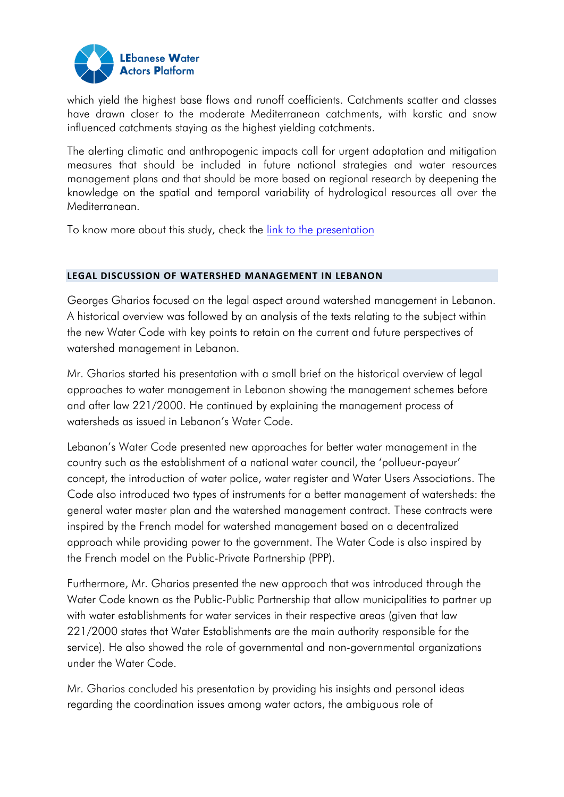

which yield the highest base flows and runoff coefficients. Catchments scatter and classes have drawn closer to the moderate Mediterranean catchments, with karstic and snow influenced catchments staying as the highest yielding catchments.

The alerting climatic and anthropogenic impacts call for urgent adaptation and mitigation measures that should be included in future national strategies and water resources management plans and that should be more based on regional research by deepening the knowledge on the spatial and temporal variability of hydrological resources all over the Mediterranean.

To know more about this study, check the [link to the presentation](https://www.pseau.org/outils/ouvrages/universite_saint_joseph_hydrologie_et_gestion_des_bassins_versants_mediterraneens_2020.pdf)

#### **LEGAL DISCUSSION OF WATERSHED MANAGEMENT IN LEBANON**

Georges Gharios focused on the legal aspect around watershed management in Lebanon. A historical overview was followed by an analysis of the texts relating to the subject within the new Water Code with key points to retain on the current and future perspectives of watershed management in Lebanon.

Mr. Gharios started his presentation with a small brief on the historical overview of legal approaches to water management in Lebanon showing the management schemes before and after law 221/2000. He continued by explaining the management process of watersheds as issued in Lebanon's Water Code.

Lebanon's Water Code presented new approaches for better water management in the country such as the establishment of a national water council, the 'pollueur-payeur' concept, the introduction of water police, water register and Water Users Associations. The Code also introduced two types of instruments for a better management of watersheds: the general water master plan and the watershed management contract. These contracts were inspired by the French model for watershed management based on a decentralized approach while providing power to the government. The Water Code is also inspired by the French model on the Public-Private Partnership (PPP).

Furthermore, Mr. Gharios presented the new approach that was introduced through the Water Code known as the Public-Public Partnership that allow municipalities to partner up with water establishments for water services in their respective areas (given that law 221/2000 states that Water Establishments are the main authority responsible for the service). He also showed the role of governmental and non-governmental organizations under the Water Code.

Mr. Gharios concluded his presentation by providing his insights and personal ideas regarding the coordination issues among water actors, the ambiguous role of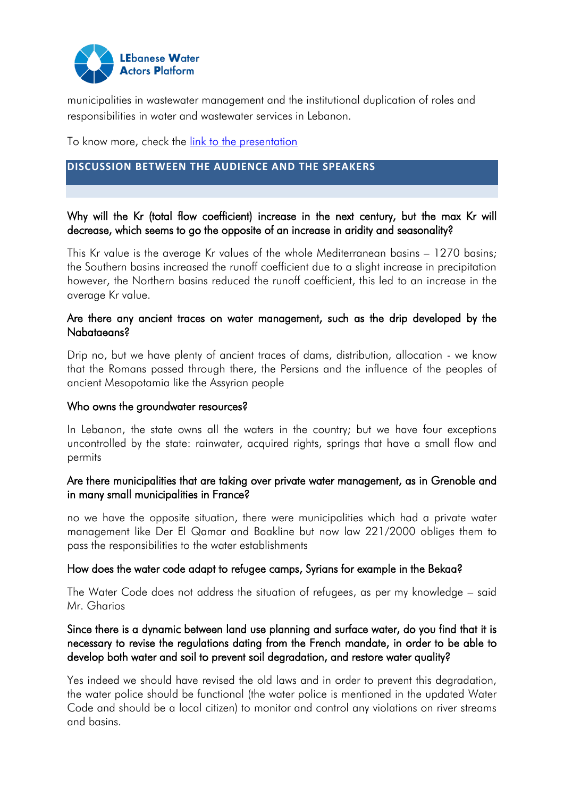

municipalities in wastewater management and the institutional duplication of roles and responsibilities in water and wastewater services in Lebanon.

To know more, check the [link to the presentation](https://www.pseau.org/outils/ouvrages/waterlution_discussion_juridique_de_la_gestion_par_bassin_au_liban_2020.pdf)

### **DISCUSSION BETWEEN THE AUDIENCE AND THE SPEAKERS**

## Why will the Kr (total flow coefficient) increase in the next century, but the max Kr will decrease, which seems to go the opposite of an increase in aridity and seasonality?

This Kr value is the average Kr values of the whole Mediterranean basins – 1270 basins; the Southern basins increased the runoff coefficient due to a slight increase in precipitation however, the Northern basins reduced the runoff coefficient, this led to an increase in the average Kr value.

#### Are there any ancient traces on water management, such as the drip developed by the Nabataeans?

Drip no, but we have plenty of ancient traces of dams, distribution, allocation - we know that the Romans passed through there, the Persians and the influence of the peoples of ancient Mesopotamia like the Assyrian people

#### Who owns the groundwater resources?

In Lebanon, the state owns all the waters in the country; but we have four exceptions uncontrolled by the state: rainwater, acquired rights, springs that have a small flow and permits

#### Are there municipalities that are taking over private water management, as in Grenoble and in many small municipalities in France?

no we have the opposite situation, there were municipalities which had a private water management like Der El Qamar and Baakline but now law 221/2000 obliges them to pass the responsibilities to the water establishments

#### How does the water code adapt to refugee camps, Syrians for example in the Bekaa?

The Water Code does not address the situation of refugees, as per my knowledge – said Mr. Gharios

### Since there is a dynamic between land use planning and surface water, do you find that it is necessary to revise the regulations dating from the French mandate, in order to be able to develop both water and soil to prevent soil degradation, and restore water quality?

Yes indeed we should have revised the old laws and in order to prevent this degradation, the water police should be functional (the water police is mentioned in the updated Water Code and should be a local citizen) to monitor and control any violations on river streams and basins.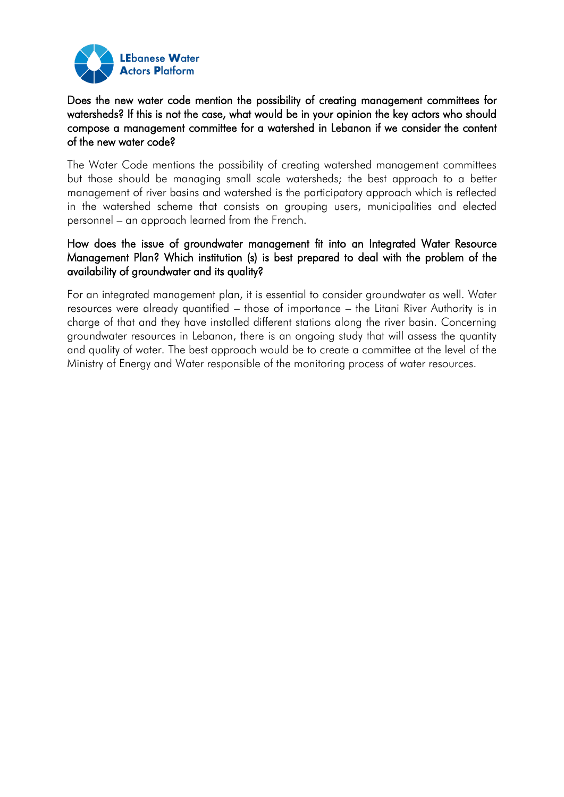

Does the new water code mention the possibility of creating management committees for watersheds? If this is not the case, what would be in your opinion the key actors who should compose a management committee for a watershed in Lebanon if we consider the content of the new water code?

The Water Code mentions the possibility of creating watershed management committees but those should be managing small scale watersheds; the best approach to a better management of river basins and watershed is the participatory approach which is reflected in the watershed scheme that consists on grouping users, municipalities and elected personnel – an approach learned from the French.

## How does the issue of groundwater management fit into an Integrated Water Resource Management Plan? Which institution (s) is best prepared to deal with the problem of the availability of groundwater and its quality?

For an integrated management plan, it is essential to consider groundwater as well. Water resources were already quantified – those of importance – the Litani River Authority is in charge of that and they have installed different stations along the river basin. Concerning groundwater resources in Lebanon, there is an ongoing study that will assess the quantity and quality of water. The best approach would be to create a committee at the level of the Ministry of Energy and Water responsible of the monitoring process of water resources.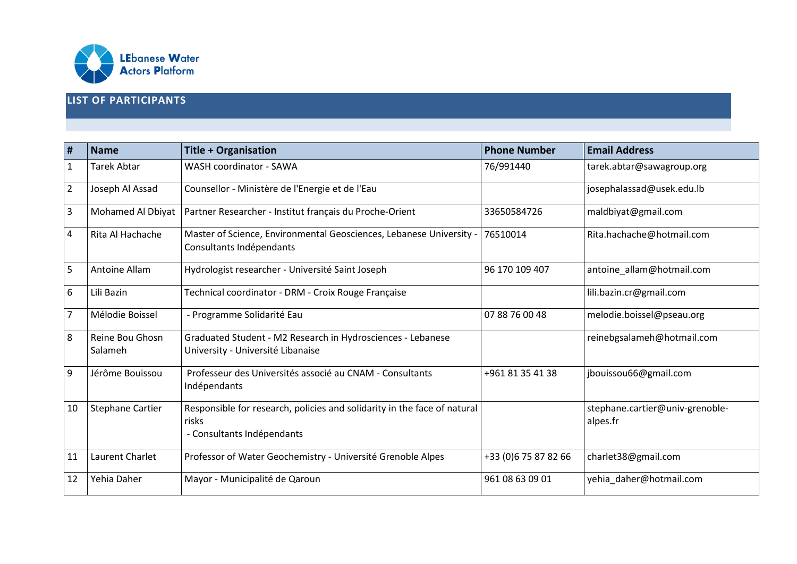

### **LIST OF PARTICIPANTS**

| #              | <b>Name</b>                | <b>Title + Organisation</b>                                                                                     | <b>Phone Number</b>   | <b>Email Address</b>                        |
|----------------|----------------------------|-----------------------------------------------------------------------------------------------------------------|-----------------------|---------------------------------------------|
| 1              | <b>Tarek Abtar</b>         | WASH coordinator - SAWA                                                                                         | 76/991440             | tarek.abtar@sawagroup.org                   |
| $\overline{2}$ | Joseph Al Assad            | Counsellor - Ministère de l'Energie et de l'Eau                                                                 |                       | josephalassad@usek.edu.lb                   |
| 3              | Mohamed Al Dbiyat          | Partner Researcher - Institut français du Proche-Orient                                                         | 33650584726           | maldbiyat@gmail.com                         |
| 4              | Rita Al Hachache           | Master of Science, Environmental Geosciences, Lebanese University -<br>Consultants Indépendants                 | 76510014              | Rita.hachache@hotmail.com                   |
| 5              | Antoine Allam              | Hydrologist researcher - Université Saint Joseph                                                                | 96 170 109 407        | antoine_allam@hotmail.com                   |
| 6              | Lili Bazin                 | Technical coordinator - DRM - Croix Rouge Française                                                             |                       | lili.bazin.cr@gmail.com                     |
| $\overline{7}$ | Mélodie Boissel            | - Programme Solidarité Eau                                                                                      | 07 88 76 00 48        | melodie.boissel@pseau.org                   |
| 8              | Reine Bou Ghosn<br>Salameh | Graduated Student - M2 Research in Hydrosciences - Lebanese<br>University - Université Libanaise                |                       | reinebgsalameh@hotmail.com                  |
| 9              | Jérôme Bouissou            | Professeur des Universités associé au CNAM - Consultants<br>Indépendants                                        | +961 81 35 41 38      | jbouissou66@gmail.com                       |
| 10             | Stephane Cartier           | Responsible for research, policies and solidarity in the face of natural<br>risks<br>- Consultants Indépendants |                       | stephane.cartier@univ-grenoble-<br>alpes.fr |
| 11             | Laurent Charlet            | Professor of Water Geochemistry - Université Grenoble Alpes                                                     | +33 (0) 6 75 87 82 66 | charlet38@gmail.com                         |
| 12             | Yehia Daher                | Mayor - Municipalité de Qaroun                                                                                  | 961 08 63 09 01       | yehia daher@hotmail.com                     |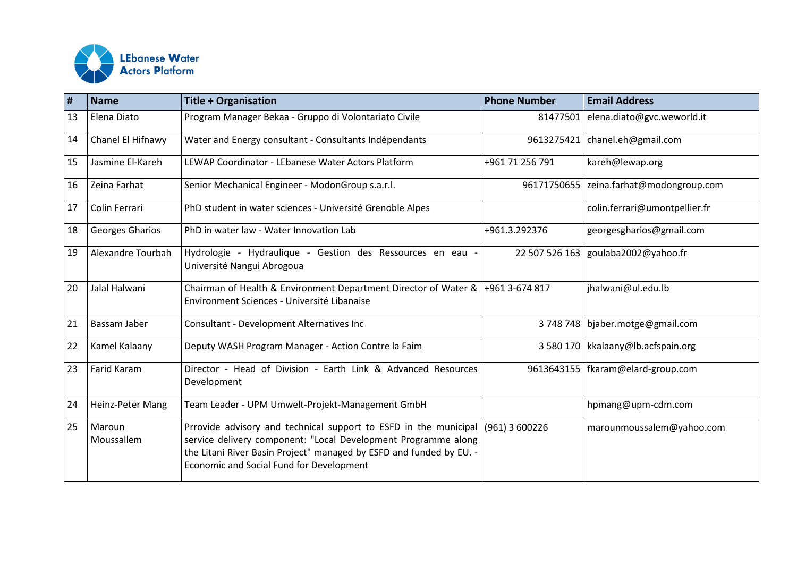

| #  | <b>Name</b>            | <b>Title + Organisation</b>                                                                                                                                                                                                                                            | <b>Phone Number</b> | <b>Email Address</b>                 |
|----|------------------------|------------------------------------------------------------------------------------------------------------------------------------------------------------------------------------------------------------------------------------------------------------------------|---------------------|--------------------------------------|
| 13 | Elena Diato            | Program Manager Bekaa - Gruppo di Volontariato Civile                                                                                                                                                                                                                  | 81477501            | elena.diato@gvc.weworld.it           |
| 14 | Chanel El Hifnawy      | Water and Energy consultant - Consultants Indépendants                                                                                                                                                                                                                 | 9613275421          | chanel.eh@gmail.com                  |
| 15 | Jasmine El-Kareh       | LEWAP Coordinator - LEbanese Water Actors Platform                                                                                                                                                                                                                     | +961 71 256 791     | kareh@lewap.org                      |
| 16 | Zeina Farhat           | Senior Mechanical Engineer - ModonGroup s.a.r.l.                                                                                                                                                                                                                       | 96171750655         | zeina.farhat@modongroup.com          |
| 17 | Colin Ferrari          | PhD student in water sciences - Université Grenoble Alpes                                                                                                                                                                                                              |                     | colin.ferrari@umontpellier.fr        |
| 18 | <b>Georges Gharios</b> | PhD in water law - Water Innovation Lab                                                                                                                                                                                                                                | +961.3.292376       | georgesgharios@gmail.com             |
| 19 | Alexandre Tourbah      | Hydrologie - Hydraulique - Gestion des Ressources en eau -<br>Université Nangui Abrogoua                                                                                                                                                                               |                     | 22 507 526 163 goulaba2002@yahoo.fr  |
| 20 | Jalal Halwani          | Chairman of Health & Environment Department Director of Water & $+9613-674817$<br>Environment Sciences - Université Libanaise                                                                                                                                          |                     | jhalwani@ul.edu.lb                   |
| 21 | Bassam Jaber           | Consultant - Development Alternatives Inc                                                                                                                                                                                                                              | 3748748             | bjaber.motge@gmail.com               |
| 22 | Kamel Kalaany          | Deputy WASH Program Manager - Action Contre la Faim                                                                                                                                                                                                                    |                     | 3 580 170   kkalaany@lb.acfspain.org |
| 23 | Farid Karam            | Director - Head of Division - Earth Link & Advanced Resources<br>Development                                                                                                                                                                                           |                     | 9613643155   fkaram@elard-group.com  |
| 24 | Heinz-Peter Mang       | Team Leader - UPM Umwelt-Projekt-Management GmbH                                                                                                                                                                                                                       |                     | hpmang@upm-cdm.com                   |
| 25 | Maroun<br>Moussallem   | Prrovide advisory and technical support to ESFD in the municipal $(961)$ 3 600226<br>service delivery component: "Local Development Programme along<br>the Litani River Basin Project" managed by ESFD and funded by EU. -<br>Economic and Social Fund for Development |                     | marounmoussalem@yahoo.com            |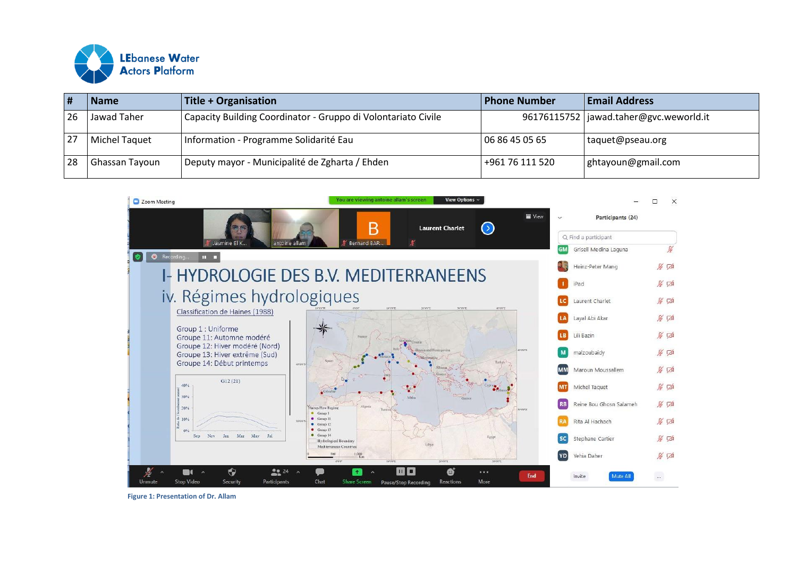

|    | <b>Name</b>    | Title + Organisation                                          | <b>Phone Number</b> | <b>Email Address</b>                     |
|----|----------------|---------------------------------------------------------------|---------------------|------------------------------------------|
| 26 | Jawad Taher    | Capacity Building Coordinator - Gruppo di Volontariato Civile |                     | 96176115752   jawad.taher@gvc.weworld.it |
|    | Michel Taquet  | Information - Programme Solidarité Eau                        | 06 86 45 05 65      | taquet@pseau.org                         |
| 28 | Ghassan Tayoun | Deputy mayor - Municipalité de Zgharta / Ehden                | +961 76 111 520     | ghtayoun@gmail.com                       |



**Figure 1: Presentation of Dr. Allam**